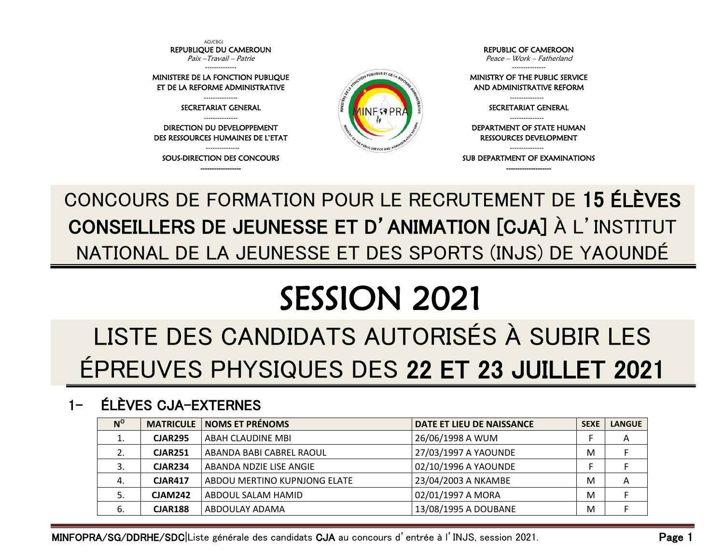

### CONCOURS DE FORMATION POUR LE RECRUTEMENT DE 15 ÉLÈVES CONSEILLERS DE JEUNESSE ET D'ANIMATION [CJA] À L'INSTITUT NATIONAL DE LA JEUNESSE ET DES SPORTS (INJS) DE YAOUNDÉ

# SESSION 2021

## LISTE DES CANDIDATS AUTORISÉS À SUBIR LES ÉPREUVES PHYSIQUES DES 22 ET 23 JUILLET 2021

#### 1- ÉLÈVES CJA-EXTERNES

| $N^{\rm o}$ | <b>MATRICULE</b> | <b>NOMS ET PRÉNOMS</b>       | DATE ET LIEU DE NAISSANCE | <b>SEXE</b> | <b>LANGUE</b> |
|-------------|------------------|------------------------------|---------------------------|-------------|---------------|
| ⊥.          | <b>CJAR295</b>   | ABAH CLAUDINE MBI            | 26/06/1998 A WUM          |             | A             |
|             | <b>CJAR251</b>   | ABANDA BABI CABREL RAOUL     | 27/03/1997 A YAOUNDE      | M           |               |
| 3.          | <b>CJAR234</b>   | ABANDA NDZIE LISE ANGIE      | 02/10/1996 A YAOUNDE      |             |               |
| 4.          | <b>CJAR417</b>   | ABDOU MERTINO KUPNJONG ELATE | 23/04/2003 A NKAMBE       | M           | A             |
| 5.          | <b>CJAM242</b>   | ABDOUL SALAM HAMID           | 02/01/1997 A MORA         | M           |               |
| -6.         | <b>CJAR188</b>   | ABDOULAY ADAMA               | 13/08/1995 A DOUBANE      | M           |               |

MINFOPRA/SG/DDRHE/SDC|Liste générale des candidats CJA au concours d'entrée à l'INJS, session 2021. Page 1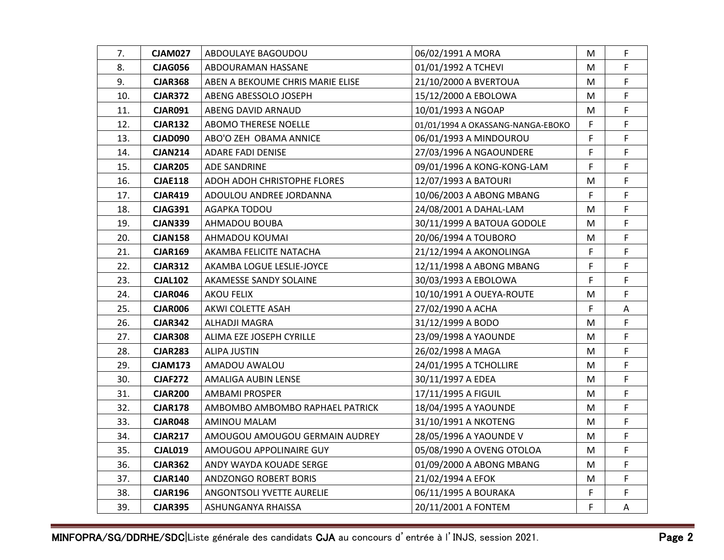| 7.  | <b>CJAM027</b> | ABDOULAYE BAGOUDOU               | 06/02/1991 A MORA                 | М  | F  |
|-----|----------------|----------------------------------|-----------------------------------|----|----|
| 8.  | <b>CJAG056</b> | ABDOURAMAN HASSANE               | 01/01/1992 A TCHEVI               | М  | F  |
| 9.  | <b>CJAR368</b> | ABEN A BEKOUME CHRIS MARIE ELISE | 21/10/2000 A BVERTOUA             | M  | F  |
| 10. | <b>CJAR372</b> | ABENG ABESSOLO JOSEPH            | 15/12/2000 A EBOLOWA              | M  | F  |
| 11. | <b>CJAR091</b> | ABENG DAVID ARNAUD               | 10/01/1993 A NGOAP                | М  | F  |
| 12. | <b>CJAR132</b> | ABOMO THERESE NOELLE             | 01/01/1994 A OKASSANG-NANGA-EBOKO | F  | F  |
| 13. | <b>CJAD090</b> | ABO'O ZEH OBAMA ANNICE           | 06/01/1993 A MINDOUROU            | F  | F  |
| 14. | <b>CJAN214</b> | <b>ADARE FADI DENISE</b>         | 27/03/1996 A NGAOUNDERE           | F  | F  |
| 15. | <b>CJAR205</b> | ADE SANDRINE                     | 09/01/1996 A KONG-KONG-LAM        | F  | F  |
| 16. | <b>CJAE118</b> | ADOH ADOH CHRISTOPHE FLORES      | 12/07/1993 A BATOURI              | м  | F. |
| 17. | <b>CJAR419</b> | ADOULOU ANDREE JORDANNA          | 10/06/2003 A ABONG MBANG          | F. | F  |
| 18. | <b>CJAG391</b> | AGAPKA TODOU                     | 24/08/2001 A DAHAL-LAM            | M  | F  |
| 19. | <b>CJAN339</b> | AHMADOU BOUBA                    | 30/11/1999 A BATOUA GODOLE        | M  | F  |
| 20. | <b>CJAN158</b> | AHMADOU KOUMAI                   | 20/06/1994 A TOUBORO              | м  | F  |
| 21. | <b>CJAR169</b> | AKAMBA FELICITE NATACHA          | 21/12/1994 A AKONOLINGA           | F  | F  |
| 22. | <b>CJAR312</b> | AKAMBA LOGUE LESLIE-JOYCE        | 12/11/1998 A ABONG MBANG          | F  | F  |
| 23. | <b>CJAL102</b> | AKAMESSE SANDY SOLAINE           | 30/03/1993 A EBOLOWA              | F  | F  |
| 24. | <b>CJAR046</b> | AKOU FELIX                       | 10/10/1991 A OUEYA-ROUTE          | м  | F. |
| 25. | <b>CJAR006</b> | AKWI COLETTE ASAH                | 27/02/1990 A ACHA                 | F  | Α  |
| 26. | <b>CJAR342</b> | ALHADJI MAGRA                    | 31/12/1999 A BODO                 | М  | F  |
| 27. | <b>CJAR308</b> | ALIMA EZE JOSEPH CYRILLE         | 23/09/1998 A YAOUNDE              | M  | F  |
| 28. | <b>CJAR283</b> | <b>ALIPA JUSTIN</b>              | 26/02/1998 A MAGA                 | M  | F  |
| 29. | <b>CJAM173</b> | AMADOU AWALOU                    | 24/01/1995 A TCHOLLIRE            | М  | F  |
| 30. | <b>CJAF272</b> | AMALIGA AUBIN LENSE              | 30/11/1997 A EDEA                 | М  | F  |
| 31. | <b>CJAR200</b> | <b>AMBAMI PROSPER</b>            | 17/11/1995 A FIGUIL               | M  | F  |
| 32. | <b>CJAR178</b> | AMBOMBO AMBOMBO RAPHAEL PATRICK  | 18/04/1995 A YAOUNDE              | М  | F  |
| 33. | <b>CJAR048</b> | AMINOU MALAM                     | 31/10/1991 A NKOTENG              | М  | F  |
| 34. | <b>CJAR217</b> | AMOUGOU AMOUGOU GERMAIN AUDREY   | 28/05/1996 A YAOUNDE V            | М  | F  |
| 35. | <b>CJAL019</b> | AMOUGOU APPOLINAIRE GUY          | 05/08/1990 A OVENG OTOLOA         | M  | F  |
| 36. | <b>CJAR362</b> | ANDY WAYDA KOUADE SERGE          | 01/09/2000 A ABONG MBANG          | М  | F  |
| 37. | <b>CJAR140</b> | ANDZONGO ROBERT BORIS            | 21/02/1994 A EFOK                 | М  | F  |
| 38. | <b>CJAR196</b> | ANGONTSOLI YVETTE AURELIE        | 06/11/1995 A BOURAKA              | F  | F. |
| 39. | <b>CJAR395</b> | ASHUNGANYA RHAISSA               | 20/11/2001 A FONTEM               | F  | A  |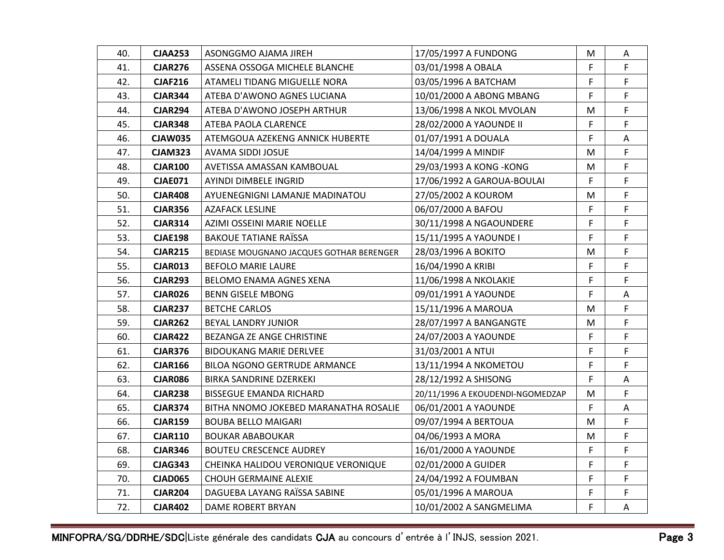| 40. | <b>CJAA253</b> | ASONGGMO AJAMA JIREH                     | 17/05/1997 A FUNDONG             | М  | A  |
|-----|----------------|------------------------------------------|----------------------------------|----|----|
| 41. | <b>CJAR276</b> | ASSENA OSSOGA MICHELE BLANCHE            | 03/01/1998 A OBALA               | F  | F. |
| 42. | <b>CJAF216</b> | ATAMELI TIDANG MIGUELLE NORA             | 03/05/1996 A BATCHAM             | F. | F. |
| 43. | <b>CJAR344</b> | ATEBA D'AWONO AGNES LUCIANA              | 10/01/2000 A ABONG MBANG         | F  | F  |
| 44. | <b>CJAR294</b> | ATEBA D'AWONO JOSEPH ARTHUR              | 13/06/1998 A NKOL MVOLAN         | М  | F  |
| 45. | <b>CJAR348</b> | ATEBA PAOLA CLARENCE                     | 28/02/2000 A YAOUNDE II          | F  | F  |
| 46. | <b>CJAW035</b> | ATEMGOUA AZEKENG ANNICK HUBERTE          | 01/07/1991 A DOUALA              | F. | A  |
| 47. | <b>CJAM323</b> | AVAMA SIDDI JOSUE                        | 14/04/1999 A MINDIF              | м  | F  |
| 48. | <b>CJAR100</b> | AVETISSA AMASSAN KAMBOUAL                | 29/03/1993 A KONG - KONG         | М  | F  |
| 49. | <b>CJAE071</b> | AYINDI DIMBELE INGRID                    | 17/06/1992 A GAROUA-BOULAI       | F  | F. |
| 50. | <b>CJAR408</b> | AYUENEGNIGNI LAMANJE MADINATOU           | 27/05/2002 A KOUROM              | М  | F  |
| 51. | <b>CJAR356</b> | AZAFACK LESLINE                          | 06/07/2000 A BAFOU               | F  | F  |
| 52. | <b>CJAR314</b> | AZIMI OSSEINI MARIE NOELLE               | 30/11/1998 A NGAOUNDERE          | F  | F. |
| 53. | <b>CJAE198</b> | <b>BAKOUE TATIANE RAÏSSA</b>             | 15/11/1995 A YAOUNDE I           | F. | F  |
| 54. | <b>CJAR215</b> | BEDIASE MOUGNANO JACQUES GOTHAR BERENGER | 28/03/1996 A BOKITO              | M  | F  |
| 55. | <b>CJAR013</b> | <b>BEFOLO MARIE LAURE</b>                | 16/04/1990 A KRIBI               | F  | F  |
| 56. | <b>CJAR293</b> | BELOMO ENAMA AGNES XENA                  | 11/06/1998 A NKOLAKIE            | F  | F. |
| 57. | <b>CJAR026</b> | <b>BENN GISELE MBONG</b>                 | 09/01/1991 A YAOUNDE             | F. | A  |
| 58. | <b>CJAR237</b> | <b>BETCHE CARLOS</b>                     | 15/11/1996 A MAROUA              | M  | F  |
| 59. | <b>CJAR262</b> | BEYAL LANDRY JUNIOR                      | 28/07/1997 A BANGANGTE           | М  | F. |
| 60. | <b>CJAR422</b> | BEZANGA ZE ANGE CHRISTINE                | 24/07/2003 A YAOUNDE             | F  | F  |
| 61. | <b>CJAR376</b> | <b>BIDOUKANG MARIE DERLVEE</b>           | 31/03/2001 A NTUI                | F  | F  |
| 62. | <b>CJAR166</b> | <b>BILOA NGONO GERTRUDE ARMANCE</b>      | 13/11/1994 A NKOMETOU            | F  | F  |
| 63. | <b>CJAR086</b> | BIRKA SANDRINE DZERKEKI                  | 28/12/1992 A SHISONG             | F  | A  |
| 64. | <b>CJAR238</b> | <b>BISSEGUE EMANDA RICHARD</b>           | 20/11/1996 A EKOUDENDI-NGOMEDZAP | M  | F  |
| 65. | <b>CJAR374</b> | BITHA NNOMO JOKEBED MARANATHA ROSALIE    | 06/01/2001 A YAOUNDE             | F  | A  |
| 66. | <b>CJAR159</b> | <b>BOUBA BELLO MAIGARI</b>               | 09/07/1994 A BERTOUA             | М  | F  |
| 67. | <b>CJAR110</b> | <b>BOUKAR ABABOUKAR</b>                  | 04/06/1993 A MORA                | М  | F  |
| 68. | <b>CJAR346</b> | <b>BOUTEU CRESCENCE AUDREY</b>           | 16/01/2000 A YAOUNDE             | F. | F. |
| 69. | <b>CJAG343</b> | CHEINKA HALIDOU VERONIQUE VERONIQUE      | 02/01/2000 A GUIDER              | F  | F. |
| 70. | <b>CJAD065</b> | CHOUH GERMAINE ALEXIE                    | 24/04/1992 A FOUMBAN             | F  | F  |
| 71. | <b>CJAR204</b> | DAGUEBA LAYANG RAÏSSA SABINE             | 05/01/1996 A MAROUA              | F  | F  |
| 72. | <b>CJAR402</b> | <b>DAME ROBERT BRYAN</b>                 | 10/01/2002 A SANGMELIMA          | F  | A  |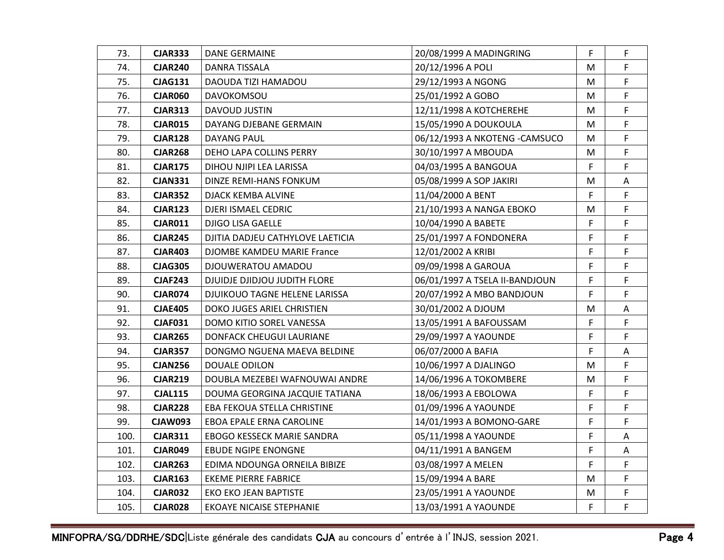| 73.  | <b>CJAR333</b> | DANE GERMAINE                    | 20/08/1999 A MADINGRING        | F. | F  |
|------|----------------|----------------------------------|--------------------------------|----|----|
| 74.  | <b>CJAR240</b> | DANRA TISSALA                    | 20/12/1996 A POLI              | М  | F. |
| 75.  | <b>CJAG131</b> | DAOUDA TIZI HAMADOU              | 29/12/1993 A NGONG             | м  | F. |
| 76.  | <b>CJAR060</b> | <b>DAVOKOMSOU</b>                | 25/01/1992 A GOBO              | M  | F  |
| 77.  | <b>CJAR313</b> | DAVOUD JUSTIN                    | 12/11/1998 A KOTCHEREHE        | М  | F  |
| 78.  | <b>CJAR015</b> | DAYANG DJEBANE GERMAIN           | 15/05/1990 A DOUKOULA          | М  | F  |
| 79.  | <b>CJAR128</b> | DAYANG PAUL                      | 06/12/1993 A NKOTENG - CAMSUCO | М  | F  |
| 80.  | <b>CJAR268</b> | DEHO LAPA COLLINS PERRY          | 30/10/1997 A MBOUDA            | M  | F  |
| 81.  | <b>CJAR175</b> | DIHOU NJIPI LEA LARISSA          | 04/03/1995 A BANGOUA           | F  | F  |
| 82.  | <b>CJAN331</b> | DINZE REMI-HANS FONKUM           | 05/08/1999 A SOP JAKIRI        | M  | A  |
| 83.  | <b>CJAR352</b> | DJACK KEMBA ALVINE               | 11/04/2000 A BENT              | F. | F  |
| 84.  | <b>CJAR123</b> | DJERI ISMAEL CEDRIC              | 21/10/1993 A NANGA EBOKO       | М  | F  |
| 85.  | <b>CJAR011</b> | DJIGO LISA GAELLE                | 10/04/1990 A BABETE            | F  | F. |
| 86.  | <b>CJAR245</b> | DJITIA DADJEU CATHYLOVE LAETICIA | 25/01/1997 A FONDONERA         | F  | F  |
| 87.  | <b>CJAR403</b> | DJOMBE KAMDEU MARIE France       | 12/01/2002 A KRIBI             | F  | F  |
| 88.  | <b>CJAG305</b> | DJOUWERATOU AMADOU               | 09/09/1998 A GAROUA            | F  | F  |
| 89.  | <b>CJAF243</b> | DJUIDJE DJIDJOU JUDITH FLORE     | 06/01/1997 A TSELA II-BANDJOUN | F  | F  |
| 90.  | <b>CJAR074</b> | DJUIKOUO TAGNE HELENE LARISSA    | 20/07/1992 A MBO BANDJOUN      | F. | F. |
| 91.  | <b>CJAE405</b> | DOKO JUGES ARIEL CHRISTIEN       | 30/01/2002 A DJOUM             | M  | Α  |
| 92.  | <b>CJAF031</b> | DOMO KITIO SOREL VANESSA         | 13/05/1991 A BAFOUSSAM         | F  | F  |
| 93.  | <b>CJAR265</b> | DONFACK CHEUGUI LAURIANE         | 29/09/1997 A YAOUNDE           | F  | F. |
| 94.  | <b>CJAR357</b> | DONGMO NGUENA MAEVA BELDINE      | 06/07/2000 A BAFIA             | F  | A  |
| 95.  | <b>CJAN256</b> | DOUALE ODILON                    | 10/06/1997 A DJALINGO          | М  | F  |
| 96.  | <b>CJAR219</b> | DOUBLA MEZEBEI WAFNOUWAI ANDRE   | 14/06/1996 A TOKOMBERE         | M  | F. |
| 97.  | <b>CJAL115</b> | DOUMA GEORGINA JACQUIE TATIANA   | 18/06/1993 A EBOLOWA           | F  | F. |
| 98.  | <b>CJAR228</b> | EBA FEKOUA STELLA CHRISTINE      | 01/09/1996 A YAOUNDE           | F  | F  |
| 99.  | <b>CJAW093</b> | EBOA EPALE ERNA CAROLINE         | 14/01/1993 A BOMONO-GARE       | F  | F  |
| 100. | <b>CJAR311</b> | EBOGO KESSECK MARIE SANDRA       | 05/11/1998 A YAOUNDE           | F  | A  |
| 101. | <b>CJAR049</b> | <b>EBUDE NGIPE ENONGNE</b>       | 04/11/1991 A BANGEM            | F. | A  |
| 102. | <b>CJAR263</b> | EDIMA NDOUNGA ORNEILA BIBIZE     | 03/08/1997 A MELEN             | F  | F. |
| 103. | <b>CJAR163</b> | <b>EKEME PIERRE FABRICE</b>      | 15/09/1994 A BARE              | М  | F  |
| 104. | <b>CJAR032</b> | EKO EKO JEAN BAPTISTE            | 23/05/1991 A YAOUNDE           | М  | F  |
| 105. | <b>CJAR028</b> | <b>EKOAYE NICAISE STEPHANIE</b>  | 13/03/1991 A YAOUNDE           | F  | F  |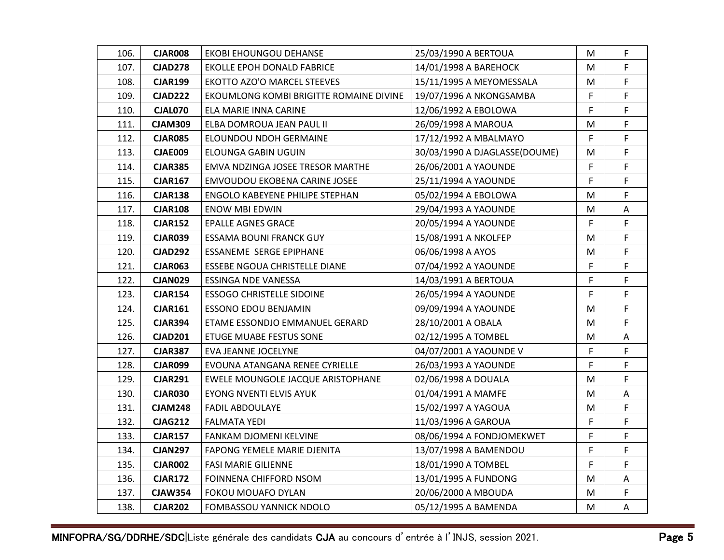| 106. | CJAR008        | EKOBI EHOUNGOU DEHANSE                  | 25/03/1990 A BERTOUA          | M  | F  |
|------|----------------|-----------------------------------------|-------------------------------|----|----|
| 107. | <b>CJAD278</b> | EKOLLE EPOH DONALD FABRICE              | 14/01/1998 A BAREHOCK         | M  | F. |
| 108. | <b>CJAR199</b> | EKOTTO AZO'O MARCEL STEEVES             | 15/11/1995 A MEYOMESSALA      | M  | F. |
| 109. | <b>CJAD222</b> | EKOUMLONG KOMBI BRIGITTE ROMAINE DIVINE | 19/07/1996 A NKONGSAMBA       | F  | F  |
| 110. | <b>CJAL070</b> | ELA MARIE INNA CARINE                   | 12/06/1992 A EBOLOWA          | F  | F. |
| 111. | <b>CJAM309</b> | ELBA DOMROUA JEAN PAUL II               | 26/09/1998 A MAROUA           | M  | F  |
| 112. | <b>CJAR085</b> | ELOUNDOU NDOH GERMAINE                  | 17/12/1992 A MBALMAYO         | F. | F  |
| 113. | <b>CJAE009</b> | ELOUNGA GABIN UGUIN                     | 30/03/1990 A DJAGLASSE(DOUME) | M  | F  |
| 114. | <b>CJAR385</b> | EMVA NDZINGA JOSEE TRESOR MARTHE        | 26/06/2001 A YAOUNDE          | F  | F. |
| 115. | <b>CJAR167</b> | EMVOUDOU EKOBENA CARINE JOSEE           | 25/11/1994 A YAOUNDE          | F  | F  |
| 116. | <b>CJAR138</b> | ENGOLO KABEYENE PHILIPE STEPHAN         | 05/02/1994 A EBOLOWA          | M  | F  |
| 117. | <b>CJAR108</b> | <b>ENOW MBI EDWIN</b>                   | 29/04/1993 A YAOUNDE          | М  | Α  |
| 118. | <b>CJAR152</b> | <b>EPALLE AGNES GRACE</b>               | 20/05/1994 A YAOUNDE          | F  | F  |
| 119. | <b>CJAR039</b> | ESSAMA BOUNI FRANCK GUY                 | 15/08/1991 A NKOLFEP          | M  | F  |
| 120. | <b>CJAD292</b> | ESSANEME SERGE EPIPHANE                 | 06/06/1998 A AYOS             | M  | F  |
| 121. | <b>CJAR063</b> | ESSEBE NGOUA CHRISTELLE DIANE           | 07/04/1992 A YAOUNDE          | F  | F  |
| 122. | <b>CJAN029</b> | ESSINGA NDE VANESSA                     | 14/03/1991 A BERTOUA          | F  | F  |
| 123. | <b>CJAR154</b> | <b>ESSOGO CHRISTELLE SIDOINE</b>        | 26/05/1994 A YAOUNDE          | F  | F  |
| 124. | <b>CJAR161</b> | <b>ESSONO EDOU BENJAMIN</b>             | 09/09/1994 A YAOUNDE          | M  | F  |
| 125. | <b>CJAR394</b> | ETAME ESSONDJO EMMANUEL GERARD          | 28/10/2001 A OBALA            | M  | F  |
| 126. | <b>CJAD201</b> | ETUGE MUABE FESTUS SONE                 | 02/12/1995 A TOMBEL           | M  | Α  |
| 127. | <b>CJAR387</b> | EVA JEANNE JOCELYNE                     | 04/07/2001 A YAOUNDE V        | F  | F. |
| 128. | <b>CJAR099</b> | EVOUNA ATANGANA RENEE CYRIELLE          | 26/03/1993 A YAOUNDE          | F  | F  |
| 129. | <b>CJAR291</b> | EWELE MOUNGOLE JACQUE ARISTOPHANE       | 02/06/1998 A DOUALA           | М  | F  |
| 130. | <b>CJAR030</b> | EYONG NVENTI ELVIS AYUK                 | 01/04/1991 A MAMFE            | M  | Α  |
| 131. | <b>CJAM248</b> | <b>FADIL ABDOULAYE</b>                  | 15/02/1997 A YAGOUA           | M  | F  |
| 132. | <b>CJAG212</b> | FALMATA YEDI                            | 11/03/1996 A GAROUA           | F  | F  |
| 133. | <b>CJAR157</b> | FANKAM DJOMENI KELVINE                  | 08/06/1994 A FONDJOMEKWET     | F  | F. |
| 134. | <b>CJAN297</b> | FAPONG YEMELE MARIE DJENITA             | 13/07/1998 A BAMENDOU         | F  | F  |
| 135. | <b>CJAR002</b> | <b>FASI MARIE GILIENNE</b>              | 18/01/1990 A TOMBEL           | F. | F. |
| 136. | <b>CJAR172</b> | FOINNENA CHIFFORD NSOM                  | 13/01/1995 A FUNDONG          | M  | Α  |
| 137. | <b>CJAW354</b> | FOKOU MOUAFO DYLAN                      | 20/06/2000 A MBOUDA           | M  | F. |
| 138. | <b>CJAR202</b> | <b>FOMBASSOU YANNICK NDOLO</b>          | 05/12/1995 A BAMENDA          | M  | A  |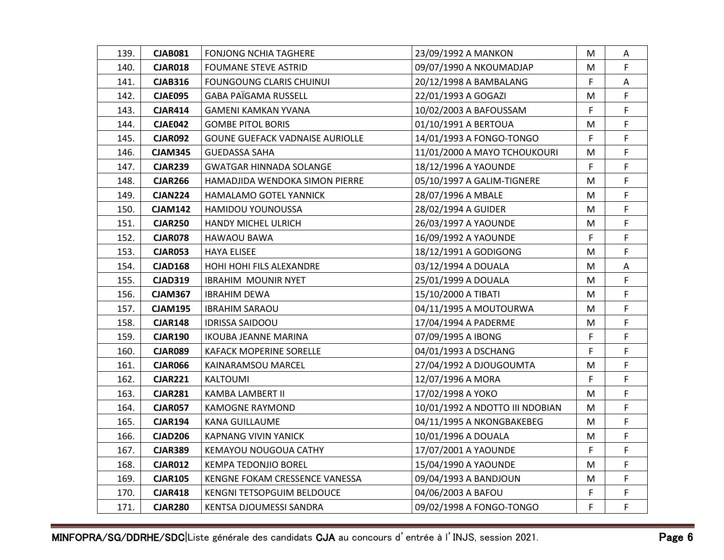| 139. | <b>CJAB081</b> | FONJONG NCHIA TAGHERE           | 23/09/1992 A MANKON             | M  | A  |
|------|----------------|---------------------------------|---------------------------------|----|----|
| 140. | <b>CJAR018</b> | <b>FOUMANE STEVE ASTRID</b>     | 09/07/1990 A NKOUMADJAP         | M  | F. |
| 141. | <b>CJAB316</b> | <b>FOUNGOUNG CLARIS CHUINUI</b> | 20/12/1998 A BAMBALANG          | F. | Α  |
| 142. | <b>CJAE095</b> | <b>GABA PAÏGAMA RUSSELL</b>     | 22/01/1993 A GOGAZI             | M  | F  |
| 143. | <b>CJAR414</b> | GAMENI KAMKAN YVANA             | 10/02/2003 A BAFOUSSAM          | F  | F. |
| 144. | <b>CJAE042</b> | <b>GOMBE PITOL BORIS</b>        | 01/10/1991 A BERTOUA            | M  | F  |
| 145. | <b>CJAR092</b> | GOUNE GUEFACK VADNAISE AURIOLLE | 14/01/1993 A FONGO-TONGO        | F. | F  |
| 146. | <b>CJAM345</b> | GUEDASSA SAHA                   | 11/01/2000 A MAYO TCHOUKOURI    | M  | F  |
| 147. | <b>CJAR239</b> | GWATGAR HINNADA SOLANGE         | 18/12/1996 A YAOUNDE            | F  | F. |
| 148. | <b>CJAR266</b> | HAMADJIDA WENDOKA SIMON PIERRE  | 05/10/1997 A GALIM-TIGNERE      | М  | F  |
| 149. | <b>CJAN224</b> | HAMALAMO GOTEL YANNICK          | 28/07/1996 A MBALE              | M  | F  |
| 150. | <b>CJAM142</b> | <b>HAMIDOU YOUNOUSSA</b>        | 28/02/1994 A GUIDER             | M  | F  |
| 151. | <b>CJAR250</b> | HANDY MICHEL ULRICH             | 26/03/1997 A YAOUNDE            | M  | F  |
| 152. | <b>CJAR078</b> | HAWAOU BAWA                     | 16/09/1992 A YAOUNDE            | F  | F  |
| 153. | <b>CJAR053</b> | HAYA ELISEE                     | 18/12/1991 A GODIGONG           | M  | F  |
| 154. | <b>CJAD168</b> | <b>HOHI HOHI FILS ALEXANDRE</b> | 03/12/1994 A DOUALA             | M  | Α  |
| 155. | <b>CJAD319</b> | <b>IBRAHIM MOUNIR NYET</b>      | 25/01/1999 A DOUALA             | M  | F  |
| 156. | <b>CJAM367</b> | <b>IBRAHIM DEWA</b>             | 15/10/2000 A TIBATI             | M  | F  |
| 157. | <b>CJAM195</b> | IBRAHIM SARAOU                  | 04/11/1995 A MOUTOURWA          | M  | F  |
| 158. | <b>CJAR148</b> | <b>IDRISSA SAIDOOU</b>          | 17/04/1994 A PADERME            | M  | F  |
| 159. | <b>CJAR190</b> | <b>IKOUBA JEANNE MARINA</b>     | 07/09/1995 A IBONG              | F  | F  |
| 160. | <b>CJAR089</b> | <b>KAFACK MOPERINE SORELLE</b>  | 04/01/1993 A DSCHANG            | F. | F. |
| 161. | <b>CJAR066</b> | KAINARAMSOU MARCEL              | 27/04/1992 A DJOUGOUMTA         | M  | F  |
| 162. | <b>CJAR221</b> | KALTOUMI                        | 12/07/1996 A MORA               | F  | F  |
| 163. | <b>CJAR281</b> | KAMBA LAMBERT II                | 17/02/1998 A YOKO               | M  | F  |
| 164. | <b>CJAR057</b> | KAMOGNE RAYMOND                 | 10/01/1992 A NDOTTO III NDOBIAN | M  | F  |
| 165. | <b>CJAR194</b> | KANA GUILLAUME                  | 04/11/1995 A NKONGBAKEBEG       | M  | F  |
| 166. | <b>CJAD206</b> | KAPNANG VIVIN YANICK            | 10/01/1996 A DOUALA             | M  | F. |
| 167. | <b>CJAR389</b> | KEMAYOU NOUGOUA CATHY           | 17/07/2001 A YAOUNDE            | F. | F  |
| 168. | <b>CJAR012</b> | KEMPA TEDONJIO BOREL            | 15/04/1990 A YAOUNDE            | M  | F. |
| 169. | <b>CJAR105</b> | KENGNE FOKAM CRESSENCE VANESSA  | 09/04/1993 A BANDJOUN           | M  | F  |
| 170. | <b>CJAR418</b> | KENGNI TETSOPGUIM BELDOUCE      | 04/06/2003 A BAFOU              | F  | F. |
| 171. | <b>CJAR280</b> | KENTSA DJOUMESSI SANDRA         | 09/02/1998 A FONGO-TONGO        | F  | F  |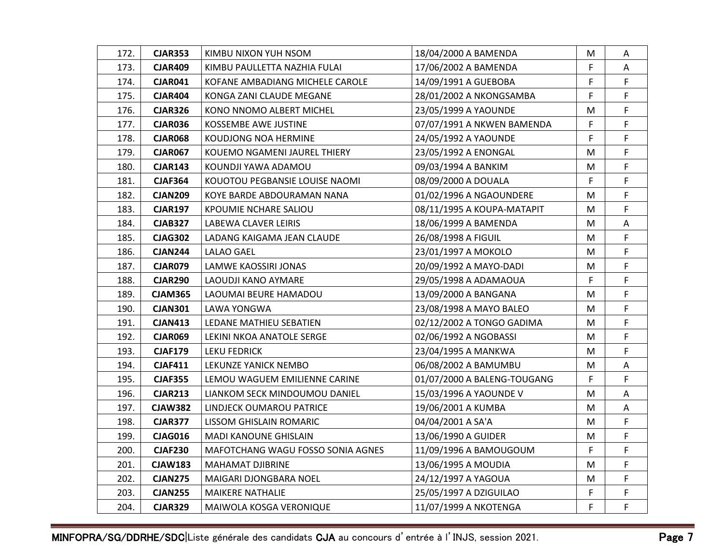| 172. | <b>CJAR353</b> | KIMBU NIXON YUH NSOM              | 18/04/2000 A BAMENDA        | M  | A  |
|------|----------------|-----------------------------------|-----------------------------|----|----|
| 173. | <b>CJAR409</b> | KIMBU PAULLETTA NAZHIA FULAI      | 17/06/2002 A BAMENDA        | F. | Α  |
| 174. | <b>CJAR041</b> | KOFANE AMBADIANG MICHELE CAROLE   | 14/09/1991 A GUEBOBA        | F. | F. |
| 175. | <b>CJAR404</b> | KONGA ZANI CLAUDE MEGANE          | 28/01/2002 A NKONGSAMBA     | F  | F  |
| 176. | <b>CJAR326</b> | KONO NNOMO ALBERT MICHEL          | 23/05/1999 A YAOUNDE        | M  | F  |
| 177. | <b>CJAR036</b> | KOSSEMBE AWE JUSTINE              | 07/07/1991 A NKWEN BAMENDA  | F  | F  |
| 178. | <b>CJAR068</b> | KOUDJONG NOA HERMINE              | 24/05/1992 A YAOUNDE        | F  | F. |
| 179. | <b>CJAR067</b> | KOUEMO NGAMENI JAUREL THIERY      | 23/05/1992 A ENONGAL        | M  | F  |
| 180. | <b>CJAR143</b> | KOUNDJI YAWA ADAMOU               | 09/03/1994 A BANKIM         | M  | F  |
| 181. | <b>CJAF364</b> | KOUOTOU PEGBANSIE LOUISE NAOMI    | 08/09/2000 A DOUALA         | F  | F  |
| 182. | <b>CJAN209</b> | KOYE BARDE ABDOURAMAN NANA        | 01/02/1996 A NGAOUNDERE     | M  | F  |
| 183. | <b>CJAR197</b> | KPOUMIE NCHARE SALIOU             | 08/11/1995 A KOUPA-MATAPIT  | M  | F  |
| 184. | <b>CJAB327</b> | LABEWA CLAVER LEIRIS              | 18/06/1999 A BAMENDA        | M  | A  |
| 185. | <b>CJAG302</b> | LADANG KAIGAMA JEAN CLAUDE        | 26/08/1998 A FIGUIL         | M  | F  |
| 186. | <b>CJAN244</b> | LALAO GAEL                        | 23/01/1997 A MOKOLO         | M  | F  |
| 187. | <b>CJAR079</b> | LAMWE KAOSSIRI JONAS              | 20/09/1992 A MAYO-DADI      | M  | F  |
| 188. | <b>CJAR290</b> | LAOUDJI KANO AYMARE               | 29/05/1998 A ADAMAOUA       | F  | F  |
| 189. | <b>CJAM365</b> | LAOUMAI BEURE HAMADOU             | 13/09/2000 A BANGANA        | M  | F. |
| 190. | <b>CJAN301</b> | LAWA YONGWA                       | 23/08/1998 A MAYO BALEO     | M  | F  |
| 191. | <b>CJAN413</b> | LEDANE MATHIEU SEBATIEN           | 02/12/2002 A TONGO GADIMA   | М  | F  |
| 192. | <b>CJAR069</b> | LEKINI NKOA ANATOLE SERGE         | 02/06/1992 A NGOBASSI       | M  | F  |
| 193. | <b>CJAF179</b> | LEKU FEDRICK                      | 23/04/1995 A MANKWA         | M  | F  |
| 194. | <b>CJAF411</b> | LEKUNZE YANICK NEMBO              | 06/08/2002 A BAMUMBU        | M  | A  |
| 195. | <b>CJAF355</b> | LEMOU WAGUEM EMILIENNE CARINE     | 01/07/2000 A BALENG-TOUGANG | F  | F. |
| 196. | <b>CJAR213</b> | LIANKOM SECK MINDOUMOU DANIEL     | 15/03/1996 A YAOUNDE V      | M  | Α  |
| 197. | <b>CJAW382</b> | LINDJECK OUMAROU PATRICE          | 19/06/2001 A KUMBA          | M  | A  |
| 198. | <b>CJAR377</b> | LISSOM GHISLAIN ROMARIC           | 04/04/2001 A SA'A           | M  | F  |
| 199. | <b>CJAG016</b> | MADI KANOUNE GHISLAIN             | 13/06/1990 A GUIDER         | M  | F. |
| 200. | <b>CJAF230</b> | MAFOTCHANG WAGU FOSSO SONIA AGNES | 11/09/1996 A BAMOUGOUM      | F. | F  |
| 201. | <b>CJAW183</b> | <b>MAHAMAT DJIBRINE</b>           | 13/06/1995 A MOUDIA         | M  | F. |
| 202. | <b>CJAN275</b> | MAIGARI DJONGBARA NOEL            | 24/12/1997 A YAGOUA         | M  | F  |
| 203. | <b>CJAN255</b> | <b>MAIKERE NATHALIE</b>           | 25/05/1997 A DZIGUILAO      | F  | F. |
| 204. | <b>CJAR329</b> | MAIWOLA KOSGA VERONIQUE           | 11/07/1999 A NKOTENGA       | F  | F  |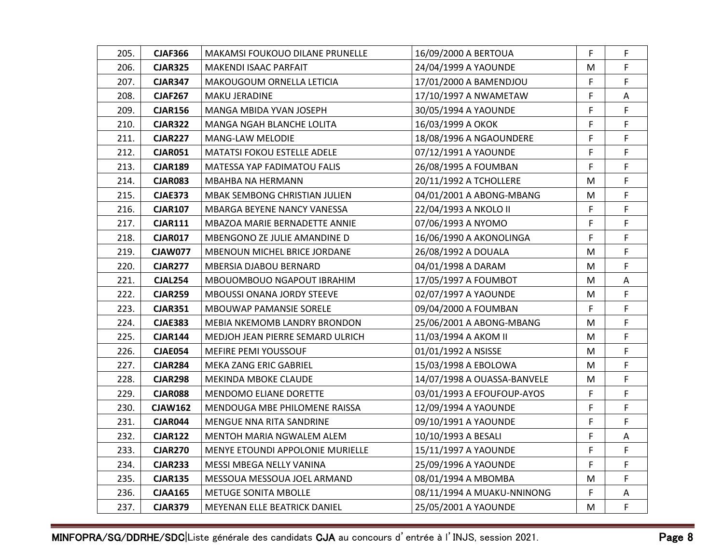| 205. | <b>CJAF366</b> | MAKAMSI FOUKOUO DILANE PRUNELLE     | 16/09/2000 A BERTOUA        | F  | F. |
|------|----------------|-------------------------------------|-----------------------------|----|----|
| 206. | <b>CJAR325</b> | <b>MAKENDI ISAAC PARFAIT</b>        | 24/04/1999 A YAOUNDE        | M  | F. |
| 207. | <b>CJAR347</b> | MAKOUGOUM ORNELLA LETICIA           | 17/01/2000 A BAMENDJOU      | F. | F. |
| 208. | <b>CJAF267</b> | <b>MAKU JERADINE</b>                | 17/10/1997 A NWAMETAW       | F  | Α  |
| 209. | <b>CJAR156</b> | MANGA MBIDA YVAN JOSEPH             | 30/05/1994 A YAOUNDE        | F  | F  |
| 210. | <b>CJAR322</b> | MANGA NGAH BLANCHE LOLITA           | 16/03/1999 A OKOK           | F  | F  |
| 211. | <b>CJAR227</b> | <b>MANG-LAW MELODIE</b>             | 18/08/1996 A NGAOUNDERE     | F  | F. |
| 212. | <b>CJAR051</b> | <b>MATATSI FOKOU ESTELLE ADELE</b>  | 07/12/1991 A YAOUNDE        | F  | F  |
| 213. | <b>CJAR189</b> | MATESSA YAP FADIMATOU FALIS         | 26/08/1995 A FOUMBAN        | F  | F. |
| 214. | <b>CJAR083</b> | MBAHBA NA HERMANN                   | 20/11/1992 A TCHOLLERE      | M  | F  |
| 215. | <b>CJAE373</b> | MBAK SEMBONG CHRISTIAN JULIEN       | 04/01/2001 A ABONG-MBANG    | M  | F  |
| 216. | <b>CJAR107</b> | MBARGA BEYENE NANCY VANESSA         | 22/04/1993 A NKOLO II       | F  | F  |
| 217. | <b>CJAR111</b> | MBAZOA MARIE BERNADETTE ANNIE       | 07/06/1993 A NYOMO          | F  | F. |
| 218. | <b>CJAR017</b> | MBENGONO ZE JULIE AMANDINE D        | 16/06/1990 A AKONOLINGA     | F  | F  |
| 219. | <b>CJAW077</b> | <b>MBENOUN MICHEL BRICE JORDANE</b> | 26/08/1992 A DOUALA         | M  | F  |
| 220. | <b>CJAR277</b> | MBERSIA DJABOU BERNARD              | 04/01/1998 A DARAM          | M  | F  |
| 221. | <b>CJAL254</b> | MBOUOMBOUO NGAPOUT IBRAHIM          | 17/05/1997 A FOUMBOT        | M  | Α  |
| 222. | <b>CJAR259</b> | <b>MBOUSSI ONANA JORDY STEEVE</b>   | 02/07/1997 A YAOUNDE        | M  | F. |
| 223. | <b>CJAR351</b> | MBOUWAP PAMANSIE SORELE             | 09/04/2000 A FOUMBAN        | F. | F  |
| 224. | <b>CJAE383</b> | <b>MEBIA NKEMOMB LANDRY BRONDON</b> | 25/06/2001 A ABONG-MBANG    | М  | F  |
| 225. | <b>CJAR144</b> | MEDJOH JEAN PIERRE SEMARD ULRICH    | 11/03/1994 A AKOM II        | M  | F  |
| 226. | <b>CJAE054</b> | <b>MEFIRE PEMI YOUSSOUF</b>         | 01/01/1992 A NSISSE         | M  | F  |
| 227. | <b>CJAR284</b> | MEKA ZANG ERIC GABRIEL              | 15/03/1998 A EBOLOWA        | M  | F  |
| 228. | <b>CJAR298</b> | MEKINDA MBOKE CLAUDE                | 14/07/1998 A OUASSA-BANVELE | M  | F. |
| 229. | <b>CJAR088</b> | <b>MENDOMO ELIANE DORETTE</b>       | 03/01/1993 A EFOUFOUP-AYOS  | F  | F  |
| 230. | <b>CJAW162</b> | MENDOUGA MBE PHILOMENE RAISSA       | 12/09/1994 A YAOUNDE        | F. | F  |
| 231. | <b>CJAR044</b> | MENGUE NNA RITA SANDRINE            | 09/10/1991 A YAOUNDE        | F  | F  |
| 232. | <b>CJAR122</b> | MENTOH MARIA NGWALEM ALEM           | 10/10/1993 A BESALI         | F  | A  |
| 233. | <b>CJAR270</b> | MENYE ETOUNDI APPOLONIE MURIELLE    | 15/11/1997 A YAOUNDE        | F  | F. |
| 234. | <b>CJAR233</b> | MESSI MBEGA NELLY VANINA            | 25/09/1996 A YAOUNDE        | F. | F. |
| 235. | <b>CJAR135</b> | MESSOUA MESSOUA JOEL ARMAND         | 08/01/1994 A MBOMBA         | M  | F  |
| 236. | <b>CJAA165</b> | <b>METUGE SONITA MBOLLE</b>         | 08/11/1994 A MUAKU-NNINONG  | F  | Α  |
| 237. | <b>CJAR379</b> | MEYENAN ELLE BEATRICK DANIEL        | 25/05/2001 A YAOUNDE        | M  | F  |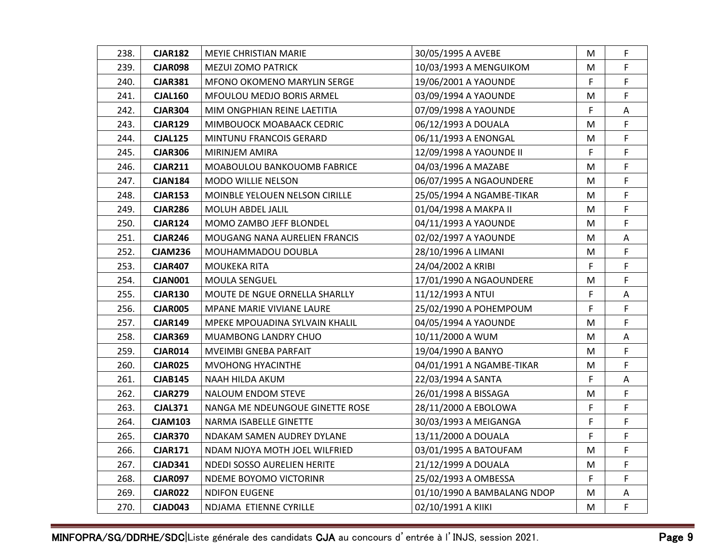| 238. | <b>CJAR182</b> | <b>MEYIE CHRISTIAN MARIE</b>          | 30/05/1995 A AVEBE          | M  | F.          |
|------|----------------|---------------------------------------|-----------------------------|----|-------------|
| 239. | <b>CJAR098</b> | <b>MEZUI ZOMO PATRICK</b>             | 10/03/1993 A MENGUIKOM      | M  | F.          |
| 240. | <b>CJAR381</b> | <b>MFONO OKOMENO MARYLIN SERGE</b>    | 19/06/2001 A YAOUNDE        | F. | F.          |
| 241. | <b>CJAL160</b> | MFOULOU MEDJO BORIS ARMEL             | 03/09/1994 A YAOUNDE        | M  | F           |
| 242. | <b>CJAR304</b> | MIM ONGPHIAN REINE LAETITIA           | 07/09/1998 A YAOUNDE        | F  | Α           |
| 243. | <b>CJAR129</b> | MIMBOUOCK MOABAACK CEDRIC             | 06/12/1993 A DOUALA         | M  | F.          |
| 244. | <b>CJAL125</b> | MINTUNU FRANCOIS GERARD               | 06/11/1993 A ENONGAL        | M  | F.          |
| 245. | <b>CJAR306</b> | MIRINJEM AMIRA                        | 12/09/1998 A YAOUNDE II     | F  | F           |
| 246. | <b>CJAR211</b> | MOABOULOU BANKOUOMB FABRICE           | 04/03/1996 A MAZABE         | M  | F           |
| 247. | <b>CJAN184</b> | <b>MODO WILLIE NELSON</b>             | 06/07/1995 A NGAOUNDERE     | M  | F           |
| 248. | <b>CJAR153</b> | <b>MOINBLE YELOUEN NELSON CIRILLE</b> | 25/05/1994 A NGAMBE-TIKAR   | M  | F           |
| 249. | <b>CJAR286</b> | MOLUH ABDEL JALIL                     | 01/04/1998 A MAKPA II       | M  | F           |
| 250. | <b>CJAR124</b> | MOMO ZAMBO JEFF BLONDEL               | 04/11/1993 A YAOUNDE        | M  | F           |
| 251. | <b>CJAR246</b> | MOUGANG NANA AURELIEN FRANCIS         | 02/02/1997 A YAOUNDE        | M  | Α           |
| 252. | <b>CJAM236</b> | MOUHAMMADOU DOUBLA                    | 28/10/1996 A LIMANI         | M  | F           |
| 253. | <b>CJAR407</b> | MOUKEKA RITA                          | 24/04/2002 A KRIBI          | F  | F.          |
| 254. | <b>CJAN001</b> | <b>MOULA SENGUEL</b>                  | 17/01/1990 A NGAOUNDERE     | M  | F           |
| 255. | <b>CJAR130</b> | MOUTE DE NGUE ORNELLA SHARLLY         | 11/12/1993 A NTUI           | F  | A           |
| 256. | <b>CJAR005</b> | MPANE MARIE VIVIANE LAURE             | 25/02/1990 A POHEMPOUM      | F  | F           |
| 257. | <b>CJAR149</b> | MPEKE MPOUADINA SYLVAIN KHALIL        | 04/05/1994 A YAOUNDE        | M  | F           |
| 258. | <b>CJAR369</b> | <b>MUAMBONG LANDRY CHUO</b>           | 10/11/2000 A WUM            | M  | A           |
| 259. | <b>CJAR014</b> | <b>MVEIMBI GNEBA PARFAIT</b>          | 19/04/1990 A BANYO          | M  | F           |
| 260. | <b>CJAR025</b> | <b>MVOHONG HYACINTHE</b>              | 04/01/1991 A NGAMBE-TIKAR   | M  | F           |
| 261. | <b>CJAB145</b> | NAAH HILDA AKUM                       | 22/03/1994 A SANTA          | F  | Α           |
| 262. | <b>CJAR279</b> | <b>NALOUM ENDOM STEVE</b>             | 26/01/1998 A BISSAGA        | M  | F           |
| 263. | <b>CJAL371</b> | NANGA ME NDEUNGOUE GINETTE ROSE       | 28/11/2000 A EBOLOWA        | F. | F.          |
| 264. | <b>CJAM103</b> | NARMA ISABELLE GINETTE                | 30/03/1993 A MEIGANGA       | F  | F           |
| 265. | <b>CJAR370</b> | NDAKAM SAMEN AUDREY DYLANE            | 13/11/2000 A DOUALA         | F  | F           |
| 266. | <b>CJAR171</b> | NDAM NJOYA MOTH JOEL WILFRIED         | 03/01/1995 A BATOUFAM       | M  | F           |
| 267. | <b>CJAD341</b> | NDEDI SOSSO AURELIEN HERITE           | 21/12/1999 A DOUALA         | M  | F.          |
| 268. | <b>CJAR097</b> | NDEME BOYOMO VICTORINR                | 25/02/1993 A OMBESSA        | F. | F           |
| 269. | <b>CJAR022</b> | <b>NDIFON EUGENE</b>                  | 01/10/1990 A BAMBALANG NDOP | M  | A           |
| 270. | <b>CJAD043</b> | NDJAMA ETIENNE CYRILLE                | 02/10/1991 A KIIKI          | M  | $\mathsf F$ |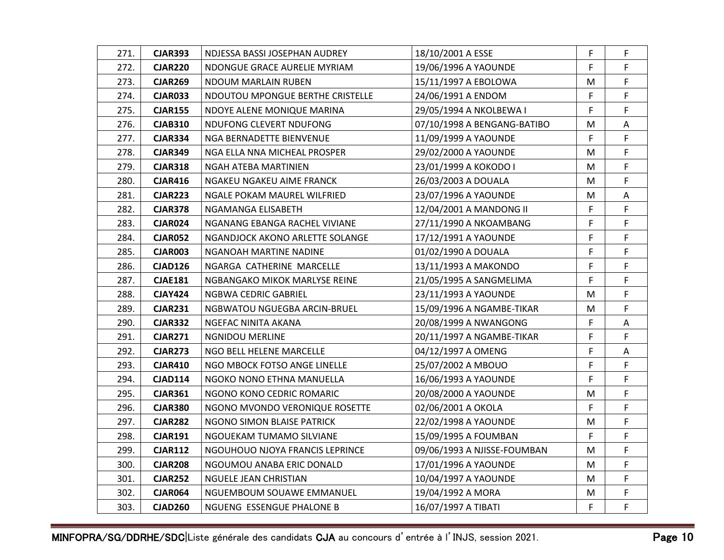| 271. | <b>CJAR393</b> | NDJESSA BASSI JOSEPHAN AUDREY    | 18/10/2001 A ESSE           | F  | F.          |
|------|----------------|----------------------------------|-----------------------------|----|-------------|
| 272. | <b>CJAR220</b> | NDONGUE GRACE AURELIE MYRIAM     | 19/06/1996 A YAOUNDE        | F  | F.          |
| 273. | <b>CJAR269</b> | NDOUM MARLAIN RUBEN              | 15/11/1997 A EBOLOWA        | M  | F.          |
| 274. | CJAR033        | NDOUTOU MPONGUE BERTHE CRISTELLE | 24/06/1991 A ENDOM          | F  | F           |
| 275. | <b>CJAR155</b> | NDOYE ALENE MONIQUE MARINA       | 29/05/1994 A NKOLBEWA I     | F  | F           |
| 276. | <b>CJAB310</b> | NDUFONG CLEVERT NDUFONG          | 07/10/1998 A BENGANG-BATIBO | M  | A           |
| 277. | <b>CJAR334</b> | NGA BERNADETTE BIENVENUE         | 11/09/1999 A YAOUNDE        | F  | F.          |
| 278. | <b>CJAR349</b> | NGA ELLA NNA MICHEAL PROSPER     | 29/02/2000 A YAOUNDE        | M  | F           |
| 279. | <b>CJAR318</b> | NGAH ATEBA MARTINIEN             | 23/01/1999 A KOKODO I       | M  | F           |
| 280. | <b>CJAR416</b> | NGAKEU NGAKEU AIME FRANCK        | 26/03/2003 A DOUALA         | M  | F           |
| 281. | <b>CJAR223</b> | NGALE POKAM MAUREL WILFRIED      | 23/07/1996 A YAOUNDE        | M  | Α           |
| 282. | <b>CJAR378</b> | NGAMANGA ELISABETH               | 12/04/2001 A MANDONG II     | F. | F           |
| 283. | <b>CJAR024</b> | NGANANG EBANGA RACHEL VIVIANE    | 27/11/1990 A NKOAMBANG      | F  | F           |
| 284. | <b>CJAR052</b> | NGANDJOCK AKONO ARLETTE SOLANGE  | 17/12/1991 A YAOUNDE        | F  | F           |
| 285. | <b>CJAR003</b> | NGANOAH MARTINE NADINE           | 01/02/1990 A DOUALA         | F  | F           |
| 286. | <b>CJAD126</b> | NGARGA CATHERINE MARCELLE        | 13/11/1993 A MAKONDO        | F  | F           |
| 287. | <b>CJAE181</b> | NGBANGAKO MIKOK MARLYSE REINE    | 21/05/1995 A SANGMELIMA     | F. | F           |
| 288. | <b>CJAY424</b> | NGBWA CEDRIC GABRIEL             | 23/11/1993 A YAOUNDE        | M  | F           |
| 289. | <b>CJAR231</b> | NGBWATOU NGUEGBA ARCIN-BRUEL     | 15/09/1996 A NGAMBE-TIKAR   | M  | F           |
| 290. | <b>CJAR332</b> | NGEFAC NINITA AKANA              | 20/08/1999 A NWANGONG       | F  | A           |
| 291. | <b>CJAR271</b> | <b>NGNIDOU MERLINE</b>           | 20/11/1997 A NGAMBE-TIKAR   | F  | F           |
| 292. | <b>CJAR273</b> | NGO BELL HELENE MARCELLE         | 04/12/1997 A OMENG          | F  | Α           |
| 293. | <b>CJAR410</b> | NGO MBOCK FOTSO ANGE LINELLE     | 25/07/2002 A MBOUO          | F  | F           |
| 294. | <b>CJAD114</b> | NGOKO NONO ETHNA MANUELLA        | 16/06/1993 A YAOUNDE        | F  | F           |
| 295. | <b>CJAR361</b> | NGONO KONO CEDRIC ROMARIC        | 20/08/2000 A YAOUNDE        | M  | F           |
| 296. | <b>CJAR380</b> | NGONO MVONDO VERONIQUE ROSETTE   | 02/06/2001 A OKOLA          | F. | F.          |
| 297. | <b>CJAR282</b> | NGONO SIMON BLAISE PATRICK       | 22/02/1998 A YAOUNDE        | M  | F           |
| 298. | <b>CJAR191</b> | NGOUEKAM TUMAMO SILVIANE         | 15/09/1995 A FOUMBAN        | F  | F           |
| 299. | <b>CJAR112</b> | NGOUHOUO NJOYA FRANCIS LEPRINCE  | 09/06/1993 A NJISSE-FOUMBAN | M  | F           |
| 300. | <b>CJAR208</b> | NGOUMOU ANABA ERIC DONALD        | 17/01/1996 A YAOUNDE        | M  | F.          |
| 301. | <b>CJAR252</b> | NGUELE JEAN CHRISTIAN            | 10/04/1997 A YAOUNDE        | M  | F           |
| 302. | <b>CJAR064</b> | NGUEMBOUM SOUAWE EMMANUEL        | 19/04/1992 A MORA           | M  | F           |
| 303. | <b>CJAD260</b> | NGUENG ESSENGUE PHALONE B        | 16/07/1997 A TIBATI         | F  | $\mathsf F$ |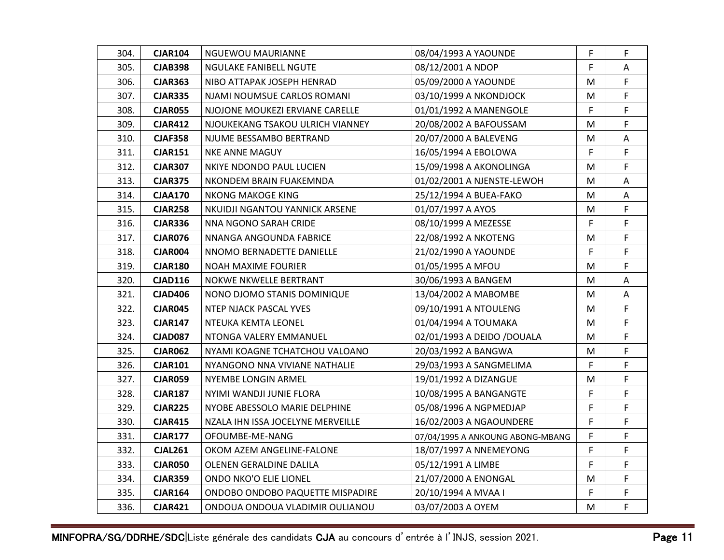| 304. | <b>CJAR104</b> | NGUEWOU MAURIANNE                 | 08/04/1993 A YAOUNDE             | F  | F  |
|------|----------------|-----------------------------------|----------------------------------|----|----|
| 305. | <b>CJAB398</b> | NGULAKE FANIBELL NGUTE            | 08/12/2001 A NDOP                | F  | Α  |
| 306. | <b>CJAR363</b> | NIBO ATTAPAK JOSEPH HENRAD        | 05/09/2000 A YAOUNDE             | M  | F. |
| 307. | <b>CJAR335</b> | NJAMI NOUMSUE CARLOS ROMANI       | 03/10/1999 A NKONDJOCK           | M  | F  |
| 308. | <b>CJAR055</b> | NJOJONE MOUKEZI ERVIANE CARELLE   | 01/01/1992 A MANENGOLE           | F  | F. |
| 309. | <b>CJAR412</b> | NJOUKEKANG TSAKOU ULRICH VIANNEY  | 20/08/2002 A BAFOUSSAM           | M  | F  |
| 310. | <b>CJAF358</b> | NJUME BESSAMBO BERTRAND           | 20/07/2000 A BALEVENG            | M  | Α  |
| 311. | <b>CJAR151</b> | <b>NKE ANNE MAGUY</b>             | 16/05/1994 A EBOLOWA             | F  | F  |
| 312. | <b>CJAR307</b> | NKIYE NDONDO PAUL LUCIEN          | 15/09/1998 A AKONOLINGA          | M  | F. |
| 313. | <b>CJAR375</b> | NKONDEM BRAIN FUAKEMNDA           | 01/02/2001 A NJENSTE-LEWOH       | М  | Α  |
| 314. | <b>CJAA170</b> | NKONG MAKOGE KING                 | 25/12/1994 A BUEA-FAKO           | M  | Α  |
| 315. | <b>CJAR258</b> | NKUIDJI NGANTOU YANNICK ARSENE    | 01/07/1997 A AYOS                | M  | F  |
| 316. | <b>CJAR336</b> | NNA NGONO SARAH CRIDE             | 08/10/1999 A MEZESSE             | F  | F  |
| 317. | <b>CJAR076</b> | NNANGA ANGOUNDA FABRICE           | 22/08/1992 A NKOTENG             | M  | F  |
| 318. | <b>CJAR004</b> | NNOMO BERNADETTE DANIELLE         | 21/02/1990 A YAOUNDE             | F  | F  |
| 319. | <b>CJAR180</b> | NOAH MAXIME FOURIER               | 01/05/1995 A MFOU                | M  | F. |
| 320. | <b>CJAD116</b> | NOKWE NKWELLE BERTRANT            | 30/06/1993 A BANGEM              | M  | A  |
| 321. | <b>CJAD406</b> | NONO DJOMO STANIS DOMINIQUE       | 13/04/2002 A MABOMBE             | M  | Α  |
| 322. | <b>CJAR045</b> | NTEP NJACK PASCAL YVES            | 09/10/1991 A NTOULENG            | M  | F  |
| 323. | <b>CJAR147</b> | NTEUKA KEMTA LEONEL               | 01/04/1994 A TOUMAKA             | M  | F  |
| 324. | <b>CJAD087</b> | NTONGA VALERY EMMANUEL            | 02/01/1993 A DEIDO /DOUALA       | M  | F. |
| 325. | <b>CJAR062</b> | NYAMI KOAGNE TCHATCHOU VALOANO    | 20/03/1992 A BANGWA              | M  | F. |
| 326. | <b>CJAR101</b> | NYANGONO NNA VIVIANE NATHALIE     | 29/03/1993 A SANGMELIMA          | F. | F  |
| 327. | <b>CJAR059</b> | NYEMBE LONGIN ARMEL               | 19/01/1992 A DIZANGUE            | M  | F  |
| 328. | <b>CJAR187</b> | NYIMI WANDJI JUNIE FLORA          | 10/08/1995 A BANGANGTE           | F  | F  |
| 329. | <b>CJAR225</b> | NYOBE ABESSOLO MARIE DELPHINE     | 05/08/1996 A NGPMEDJAP           | F  | F  |
| 330. | <b>CJAR415</b> | NZALA IHN ISSA JOCELYNE MERVEILLE | 16/02/2003 A NGAOUNDERE          | F  | F  |
| 331. | <b>CJAR177</b> | OFOUMBE-ME-NANG                   | 07/04/1995 A ANKOUNG ABONG-MBANG | F  | F. |
| 332. | <b>CJAL261</b> | OKOM AZEM ANGELINE-FALONE         | 18/07/1997 A NNEMEYONG           | F  | F  |
| 333. | <b>CJAR050</b> | OLENEN GERALDINE DALILA           | 05/12/1991 A LIMBE               | F. | F. |
| 334. | <b>CJAR359</b> | ONDO NKO'O ELIE LIONEL            | 21/07/2000 A ENONGAL             | M  | F  |
| 335. | <b>CJAR164</b> | ONDOBO ONDOBO PAQUETTE MISPADIRE  | 20/10/1994 A MVAA I              | F  | F. |
| 336. | <b>CJAR421</b> | ONDOUA ONDOUA VLADIMIR OULIANOU   | 03/07/2003 A OYEM                | M  | F  |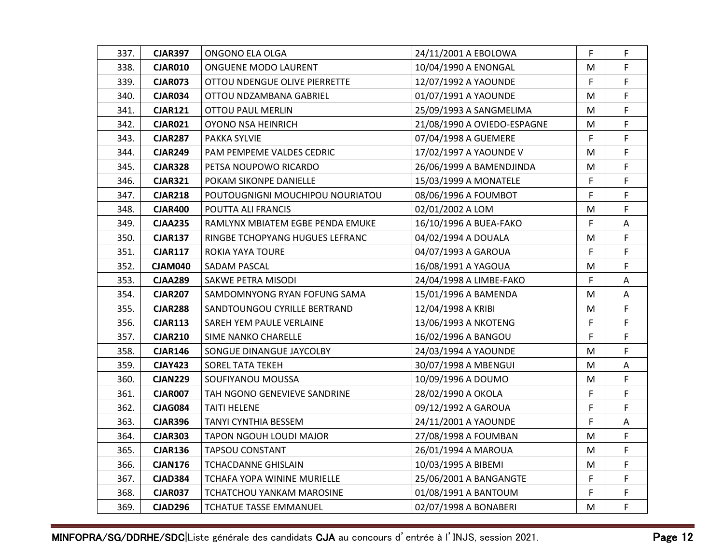| 337. | <b>CJAR397</b> | ONGONO ELA OLGA                  | 24/11/2001 A EBOLOWA        | F  | F. |
|------|----------------|----------------------------------|-----------------------------|----|----|
| 338. | <b>CJAR010</b> | ONGUENE MODO LAURENT             | 10/04/1990 A ENONGAL        | M  | F. |
| 339. | <b>CJAR073</b> | OTTOU NDENGUE OLIVE PIERRETTE    | 12/07/1992 A YAOUNDE        | F. | F. |
| 340. | <b>CJAR034</b> | OTTOU NDZAMBANA GABRIEL          | 01/07/1991 A YAOUNDE        | M  | F  |
| 341. | <b>CJAR121</b> | OTTOU PAUL MERLIN                | 25/09/1993 A SANGMELIMA     | M  | F  |
| 342. | <b>CJAR021</b> | OYONO NSA HEINRICH               | 21/08/1990 A OVIEDO-ESPAGNE | M  | F  |
| 343. | <b>CJAR287</b> | PAKKA SYLVIE                     | 07/04/1998 A GUEMERE        | F  | F. |
| 344. | <b>CJAR249</b> | PAM PEMPEME VALDES CEDRIC        | 17/02/1997 A YAOUNDE V      | M  | F  |
| 345. | <b>CJAR328</b> | PETSA NOUPOWO RICARDO            | 26/06/1999 A BAMENDJINDA    | M  | F  |
| 346. | <b>CJAR321</b> | POKAM SIKONPE DANIELLE           | 15/03/1999 A MONATELE       | F  | F  |
| 347. | <b>CJAR218</b> | POUTOUGNIGNI MOUCHIPOU NOURIATOU | 08/06/1996 A FOUMBOT        | F  | F  |
| 348. | <b>CJAR400</b> | POUTTA ALI FRANCIS               | 02/01/2002 A LOM            | M  | F  |
| 349. | <b>CJAA235</b> | RAMLYNX MBIATEM EGBE PENDA EMUKE | 16/10/1996 A BUEA-FAKO      | F  | A  |
| 350. | <b>CJAR137</b> | RINGBE TCHOPYANG HUGUES LEFRANC  | 04/02/1994 A DOUALA         | M  | F  |
| 351. | <b>CJAR117</b> | ROKIA YAYA TOURE                 | 04/07/1993 A GAROUA         | F  | F  |
| 352. | <b>CJAM040</b> | SADAM PASCAL                     | 16/08/1991 A YAGOUA         | M  | F  |
| 353. | <b>CJAA289</b> | SAKWE PETRA MISODI               | 24/04/1998 A LIMBE-FAKO     | F  | A  |
| 354. | <b>CJAR207</b> | SAMDOMNYONG RYAN FOFUNG SAMA     | 15/01/1996 A BAMENDA        | M  | A  |
| 355. | <b>CJAR288</b> | SANDTOUNGOU CYRILLE BERTRAND     | 12/04/1998 A KRIBI          | M  | F  |
| 356. | <b>CJAR113</b> | SAREH YEM PAULE VERLAINE         | 13/06/1993 A NKOTENG        | F  | F  |
| 357. | <b>CJAR210</b> | SIME NANKO CHARELLE              | 16/02/1996 A BANGOU         | F  | F  |
| 358. | <b>CJAR146</b> | SONGUE DINANGUE JAYCOLBY         | 24/03/1994 A YAOUNDE        | M  | F  |
| 359. | <b>CJAY423</b> | <b>SOREL TATA TEKEH</b>          | 30/07/1998 A MBENGUI        | M  | Α  |
| 360. | <b>CJAN229</b> | SOUFIYANOU MOUSSA                | 10/09/1996 A DOUMO          | M  | F. |
| 361. | <b>CJAR007</b> | TAH NGONO GENEVIEVE SANDRINE     | 28/02/1990 A OKOLA          | F  | F  |
| 362. | <b>CJAG084</b> | TAITI HELENE                     | 09/12/1992 A GAROUA         | F. | F. |
| 363. | <b>CJAR396</b> | TANYI CYNTHIA BESSEM             | 24/11/2001 A YAOUNDE        | F  | Α  |
| 364. | <b>CJAR303</b> | TAPON NGOUH LOUDI MAJOR          | 27/08/1998 A FOUMBAN        | M  | F. |
| 365. | <b>CJAR136</b> | <b>TAPSOU CONSTANT</b>           | 26/01/1994 A MAROUA         | M  | F  |
| 366. | <b>CJAN176</b> | TCHACDANNE GHISLAIN              | 10/03/1995 A BIBEMI         | M  | F. |
| 367. | <b>CJAD384</b> | TCHAFA YOPA WININE MURIELLE      | 25/06/2001 A BANGANGTE      | F  | F  |
| 368. | <b>CJAR037</b> | TCHATCHOU YANKAM MAROSINE        | 01/08/1991 A BANTOUM        | F  | F  |
| 369. | <b>CJAD296</b> | TCHATUE TASSE EMMANUEL           | 02/07/1998 A BONABERI       | M  | F  |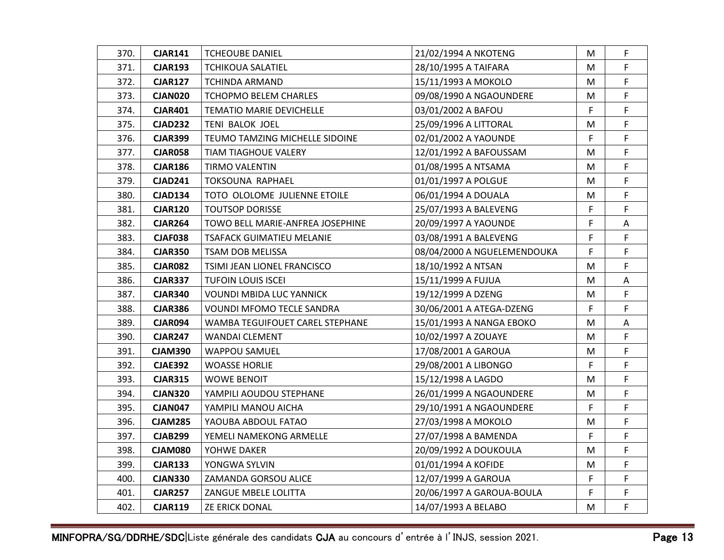| 370. | <b>CJAR141</b> | <b>TCHEOUBE DANIEL</b>           | 21/02/1994 A NKOTENG        | M  | F  |
|------|----------------|----------------------------------|-----------------------------|----|----|
| 371. | <b>CJAR193</b> | TCHIKOUA SALATIEL                | 28/10/1995 A TAIFARA        | М  | F  |
| 372. | <b>CJAR127</b> | TCHINDA ARMAND                   | 15/11/1993 A MOKOLO         | м  | F. |
| 373. | CJAN020        | TCHOPMO BELEM CHARLES            | 09/08/1990 A NGAOUNDERE     | М  | F  |
| 374. | <b>CJAR401</b> | <b>TEMATIO MARIE DEVICHELLE</b>  | 03/01/2002 A BAFOU          | F  | F  |
| 375. | <b>CJAD232</b> | TENI BALOK JOEL                  | 25/09/1996 A LITTORAL       | М  | F  |
| 376. | <b>CJAR399</b> | TEUMO TAMZING MICHELLE SIDOINE   | 02/01/2002 A YAOUNDE        | F. | F  |
| 377. | <b>CJAR058</b> | <b>TIAM TIAGHOUE VALERY</b>      | 12/01/1992 A BAFOUSSAM      | Μ  | F  |
| 378. | <b>CJAR186</b> | <b>TIRMO VALENTIN</b>            | 01/08/1995 A NTSAMA         | M  | F  |
| 379. | <b>CJAD241</b> | TOKSOUNA RAPHAEL                 | 01/01/1997 A POLGUE         | М  | F  |
| 380. | <b>CJAD134</b> | TOTO OLOLOME JULIENNE ETOILE     | 06/01/1994 A DOUALA         | М  | F  |
| 381. | <b>CJAR120</b> | <b>TOUTSOP DORISSE</b>           | 25/07/1993 A BALEVENG       | F  | F  |
| 382. | <b>CJAR264</b> | TOWO BELL MARIE-ANFREA JOSEPHINE | 20/09/1997 A YAOUNDE        | F  | A  |
| 383. | <b>CJAF038</b> | TSAFACK GUIMATIEU MELANIE        | 03/08/1991 A BALEVENG       | F  | F  |
| 384. | <b>CJAR350</b> | TSAM DOB MELISSA                 | 08/04/2000 A NGUELEMENDOUKA | F. | F  |
| 385. | <b>CJAR082</b> | TSIMI JEAN LIONEL FRANCISCO      | 18/10/1992 A NTSAN          | М  | F  |
| 386. | <b>CJAR337</b> | <b>TUFOIN LOUIS ISCEI</b>        | 15/11/1999 A FUJUA          | M  | A  |
| 387. | <b>CJAR340</b> | <b>VOUNDI MBIDA LUC YANNICK</b>  | 19/12/1999 A DZENG          | М  | F  |
| 388. | <b>CJAR386</b> | <b>VOUNDI MFOMO TECLE SANDRA</b> | 30/06/2001 A ATEGA-DZENG    | F. | F  |
| 389. | <b>CJAR094</b> | WAMBA TEGUIFOUET CAREL STEPHANE  | 15/01/1993 A NANGA EBOKO    | М  | A  |
| 390. | <b>CJAR247</b> | <b>WANDAI CLEMENT</b>            | 10/02/1997 A ZOUAYE         | M  | F  |
| 391. | <b>CJAM390</b> | <b>WAPPOU SAMUEL</b>             | 17/08/2001 A GAROUA         | М  | F  |
| 392. | <b>CJAE392</b> | <b>WOASSE HORLIE</b>             | 29/08/2001 A LIBONGO        | F. | F  |
| 393. | <b>CJAR315</b> | WOWE BENOIT                      | 15/12/1998 A LAGDO          | М  | F  |
| 394. | <b>CJAN320</b> | YAMPILI AOUDOU STEPHANE          | 26/01/1999 A NGAOUNDERE     | M  | F. |
| 395. | <b>CJAN047</b> | YAMPILI MANOU AICHA              | 29/10/1991 A NGAOUNDERE     | F. | F  |
| 396. | <b>CJAM285</b> | YAOUBA ABDOUL FATAO              | 27/03/1998 A MOKOLO         | M  | F  |
| 397. | <b>CJAB299</b> | YEMELI NAMEKONG ARMELLE          | 27/07/1998 A BAMENDA        | F  | F  |
| 398. | <b>CJAM080</b> | YOHWE DAKER                      | 20/09/1992 A DOUKOULA       | М  | F  |
| 399. | <b>CJAR133</b> | YONGWA SYLVIN                    | 01/01/1994 A KOFIDE         | М  | F  |
| 400. | <b>CJAN330</b> | ZAMANDA GORSOU ALICE             | 12/07/1999 A GAROUA         | F  | F  |
| 401. | <b>CJAR257</b> | ZANGUE MBELE LOLITTA             | 20/06/1997 A GAROUA-BOULA   | F  | F. |
| 402. | <b>CJAR119</b> | ZE ERICK DONAL                   | 14/07/1993 A BELABO         | M  | F  |